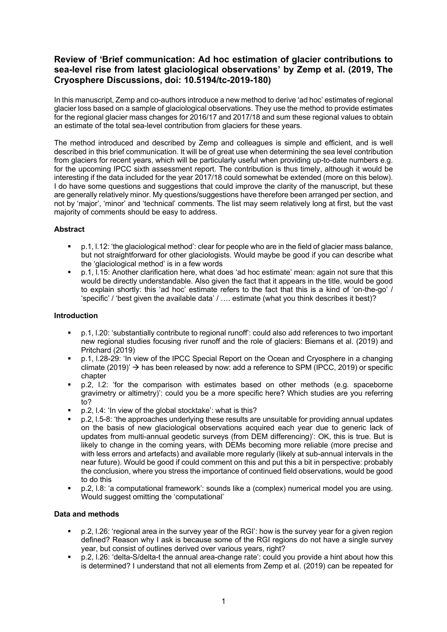# **Review of 'Brief communication: Ad hoc estimation of glacier contributions to sea-level rise from latest glaciological observations' by Zemp et al. (2019, The Cryosphere Discussions, doi: 10.5194/tc-2019-180)**

In this manuscript, Zemp and co-authors introduce a new method to derive 'ad hoc' estimates of regional glacier loss based on a sample of glaciological observations. They use the method to provide estimates for the regional glacier mass changes for 2016/17 and 2017/18 and sum these regional values to obtain an estimate of the total sea-level contribution from glaciers for these years.

The method introduced and described by Zemp and colleagues is simple and efficient, and is well described in this brief communication. It will be of great use when determining the sea level contribution from glaciers for recent years, which will be particularly useful when providing up-to-date numbers e.g. for the upcoming IPCC sixth assessment report. The contribution is thus timely, although it would be interesting if the data included for the year 2017/18 could somewhat be extended (more on this below). I do have some questions and suggestions that could improve the clarity of the manuscript, but these are generally relatively minor. My questions/suggestions have therefore been arranged per section, and not by 'major', 'minor' and 'technical' comments. The list may seem relatively long at first, but the vast majority of comments should be easy to address.

# **Abstract**

- § p.1, l.12: 'the glaciological method': clear for people who are in the field of glacier mass balance, but not straightforward for other glaciologists. Would maybe be good if you can describe what the 'glaciological method' is in a few words
- § p.1, l.15: Another clarification here, what does 'ad hoc estimate' mean: again not sure that this would be directly understandable. Also given the fact that it appears in the title, would be good to explain shortly: this 'ad hoc' estimate refers to the fact that this is a kind of 'on-the-go' / 'specific' / 'best given the available data' / …. estimate (what you think describes it best)?

## **Introduction**

- § p.1, l.20: 'substantially contribute to regional runoff': could also add references to two important new regional studies focusing river runoff and the role of glaciers: Biemans et al. (2019) and Pritchard (2019)
- § p.1, l.28-29: 'In view of the IPCC Special Report on the Ocean and Cryosphere in a changing climate (2019)'  $\rightarrow$  has been released by now: add a reference to SPM (IPCC, 2019) or specific chapter
- § p.2, l.2: 'for the comparison with estimates based on other methods (e.g. spaceborne gravimetry or altimetry)': could you be a more specific here? Which studies are you referring to?
- § p.2, l.4: 'In view of the global stocktake': what is this?
- § p.2, l.5-8: 'the approaches underlying these results are unsuitable for providing annual updates on the basis of new glaciological observations acquired each year due to generic lack of updates from multi-annual geodetic surveys (from DEM differencing)': OK, this is true. But is likely to change in the coming years, with DEMs becoming more reliable (more precise and with less errors and artefacts) and available more regularly (likely at sub-annual intervals in the near future). Would be good if could comment on this and put this a bit in perspective: probably the conclusion, where you stress the importance of continued field observations, would be good to do this
- § p.2, l.8: 'a computational framework': sounds like a (complex) numerical model you are using. Would suggest omitting the 'computational'

### **Data and methods**

- p.2, I.26: 'regional area in the survey year of the RGI': how is the survey year for a given region defined? Reason why I ask is because some of the RGI regions do not have a single survey year, but consist of outlines derived over various years, right?
- p.2, I.26: 'delta-S/delta-t the annual area-change rate': could you provide a hint about how this is determined? I understand that not all elements from Zemp et al. (2019) can be repeated for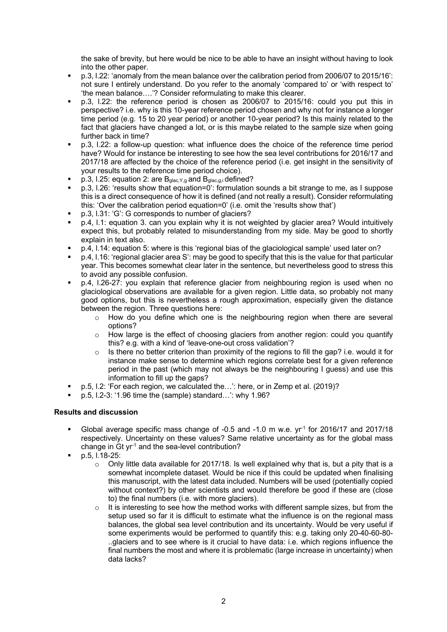the sake of brevity, but here would be nice to be able to have an insight without having to look into the other paper.

- § p.3, l.22: 'anomaly from the mean balance over the calibration period from 2006/07 to 2015/16': not sure I entirely understand. Do you refer to the anomaly 'compared to' or 'with respect to' 'the mean balance….'? Consider reformulating to make this clearer.
- § p.3, l.22: the reference period is chosen as 2006/07 to 2015/16: could you put this in perspective? i.e. why is this 10-year reference period chosen and why not for instance a longer time period (e.g. 15 to 20 year period) or another 10-year period? Is this mainly related to the fact that glaciers have changed a lot, or is this maybe related to the sample size when going further back in time?
- § p.3, l.22: a follow-up question: what influence does the choice of the reference time period have? Would for instance be interesting to see how the sea level contributions for 2016/17 and 2017/18 are affected by the choice of the reference period (i.e. get insight in the sensitivity of your results to the reference time period choice).
- p.3, I.25: equation 2: are B<sub>glac, Y,g</sub> and B<sub>glac,g,i</sub> defined?
- § p.3, l.26: 'results show that equation=0': formulation sounds a bit strange to me, as I suppose this is a direct consequence of how it is defined (and not really a result). Consider reformulating this: 'Over the calibration period equation=0' (i.e. omit the 'results show that')
- § p.3, l.31: 'G': G corresponds to number of glaciers?
- § p.4, l.1: equation 3. can you explain why it is not weighted by glacier area? Would intuitively expect this, but probably related to misunderstanding from my side. May be good to shortly explain in text also.
- § p.4, l.14: equation 5: where is this 'regional bias of the glaciological sample' used later on?
- § p.4, l.16: 'regional glacier area S': may be good to specify that this is the value for that particular year. This becomes somewhat clear later in the sentence, but nevertheless good to stress this to avoid any possible confusion.
- p.4, I.26-27: you explain that reference glacier from neighbouring region is used when no glaciological observations are available for a given region. Little data, so probably not many good options, but this is nevertheless a rough approximation, especially given the distance between the region. Three questions here:
	- $\circ$  How do you define which one is the neighbouring region when there are several options?
	- $\circ$  How large is the effect of choosing glaciers from another region: could you quantify this? e.g. with a kind of 'leave-one-out cross validation'?
	- $\circ$  Is there no better criterion than proximity of the regions to fill the gap? i.e. would it for instance make sense to determine which regions correlate best for a given reference period in the past (which may not always be the neighbouring I guess) and use this information to fill up the gaps?
- § p.5, l.2: 'For each region, we calculated the…': here, or in Zemp et al. (2019)?
- § p.5, l.2-3: '1.96 time the (sample) standard…': why 1.96?

### **Results and discussion**

- Global average specific mass change of -0.5 and -1.0 m w.e.  $yr<sup>1</sup>$  for 2016/17 and 2017/18 respectively. Uncertainty on these values? Same relative uncertainty as for the global mass change in  $\mathrm{G}$ t yr<sup>1</sup> and the sea-level contribution?
- § p.5, l.18-25:
	- o Only little data available for 2017/18. Is well explained why that is, but a pity that is a somewhat incomplete dataset. Would be nice if this could be updated when finalising this manuscript, with the latest data included. Numbers will be used (potentially copied without context?) by other scientists and would therefore be good if these are (close to) the final numbers (i.e. with more glaciers).
	- $\circ$  It is interesting to see how the method works with different sample sizes, but from the setup used so far it is difficult to estimate what the influence is on the regional mass balances, the global sea level contribution and its uncertainty. Would be very useful if some experiments would be performed to quantify this: e.g. taking only 20-40-60-80- ..glaciers and to see where is it crucial to have data: i.e. which regions influence the final numbers the most and where it is problematic (large increase in uncertainty) when data lacks?